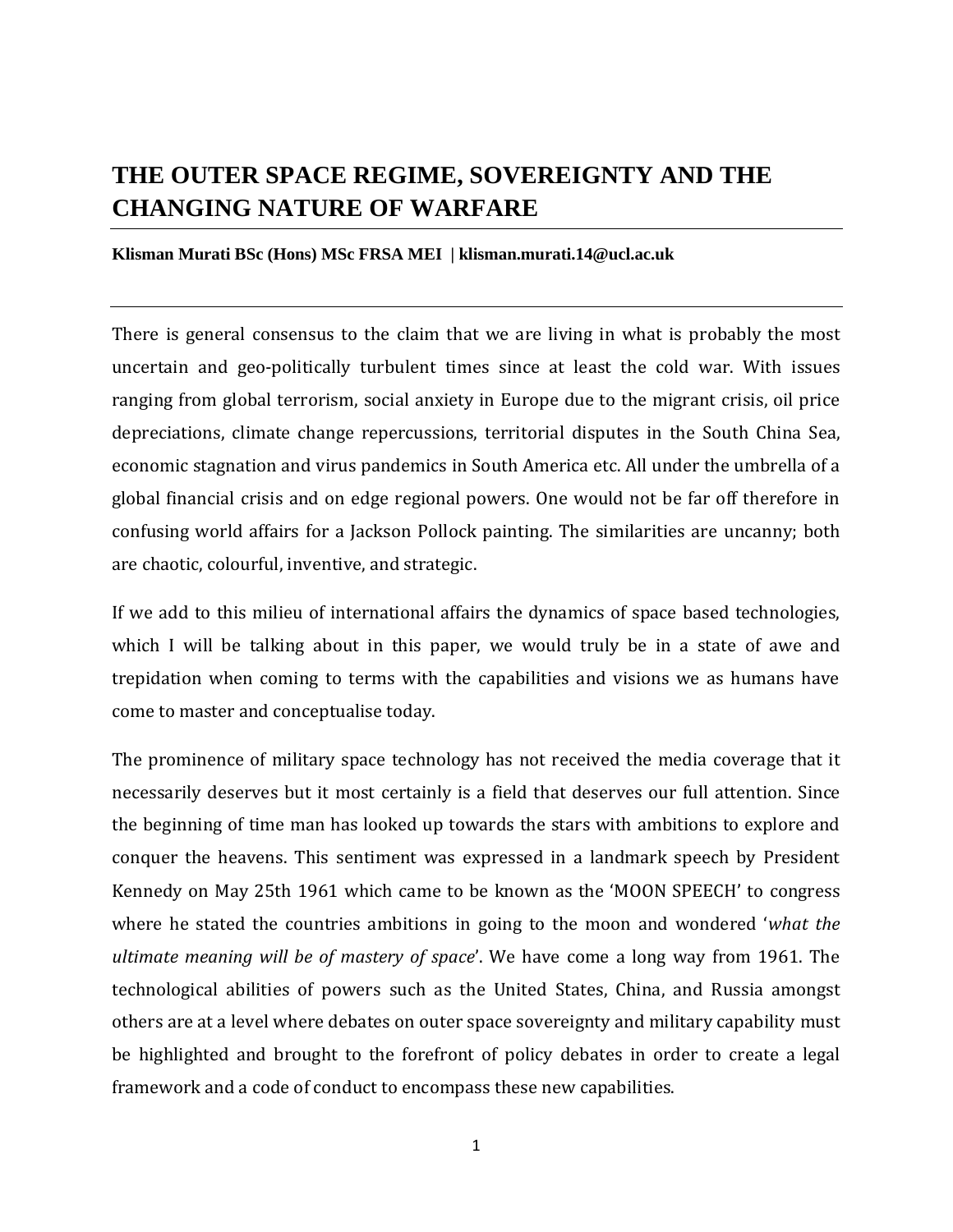# **THE OUTER SPACE REGIME, SOVEREIGNTY AND THE CHANGING NATURE OF WARFARE**

#### **Klisman Murati BSc (Hons) MSc FRSA MEI | klisman.murati.14@ucl.ac.uk**

There is general consensus to the claim that we are living in what is probably the most uncertain and geo-politically turbulent times since at least the cold war. With issues ranging from global terrorism, social anxiety in Europe due to the migrant crisis, oil price depreciations, climate change repercussions, territorial disputes in the South China Sea, economic stagnation and virus pandemics in South America etc. All under the umbrella of a global financial crisis and on edge regional powers. One would not be far off therefore in confusing world affairs for a Jackson Pollock painting. The similarities are uncanny; both are chaotic, colourful, inventive, and strategic.

If we add to this milieu of international affairs the dynamics of space based technologies, which I will be talking about in this paper, we would truly be in a state of awe and trepidation when coming to terms with the capabilities and visions we as humans have come to master and conceptualise today.

The prominence of military space technology has not received the media coverage that it necessarily deserves but it most certainly is a field that deserves our full attention. Since the beginning of time man has looked up towards the stars with ambitions to explore and conquer the heavens. This sentiment was expressed in a landmark speech by President Kennedy on May 25th 1961 which came to be known as the 'MOON SPEECH' to congress where he stated the countries ambitions in going to the moon and wondered '*what the ultimate meaning will be of mastery of space*'. We have come a long way from 1961. The technological abilities of powers such as the United States, China, and Russia amongst others are at a level where debates on outer space sovereignty and military capability must be highlighted and brought to the forefront of policy debates in order to create a legal framework and a code of conduct to encompass these new capabilities.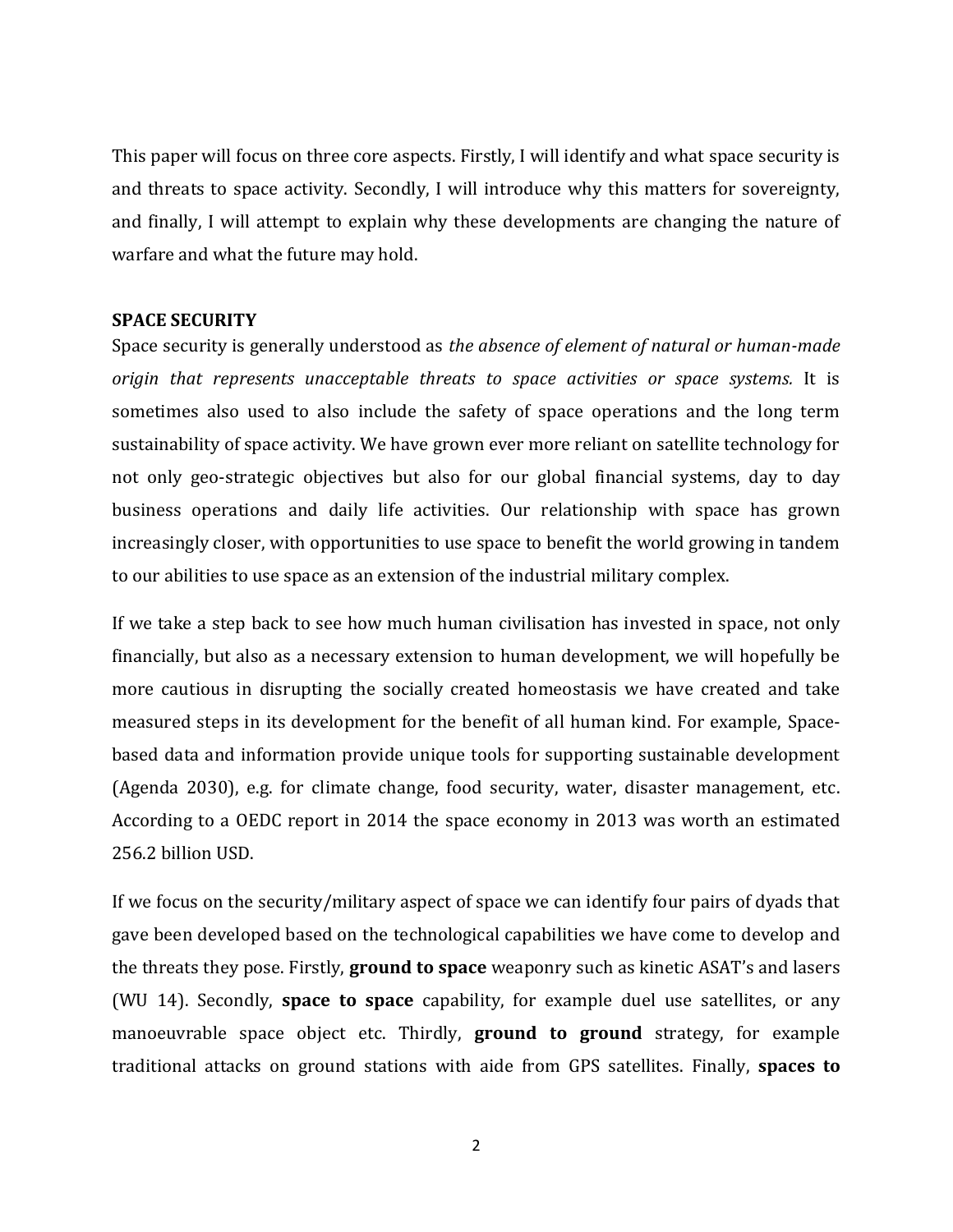This paper will focus on three core aspects. Firstly, I will identify and what space security is and threats to space activity. Secondly, I will introduce why this matters for sovereignty, and finally, I will attempt to explain why these developments are changing the nature of warfare and what the future may hold.

## **SPACE SECURITY**

Space security is generally understood as *the absence of element of natural or human-made origin that represents unacceptable threats to space activities or space systems.* It is sometimes also used to also include the safety of space operations and the long term sustainability of space activity. We have grown ever more reliant on satellite technology for not only geo-strategic objectives but also for our global financial systems, day to day business operations and daily life activities. Our relationship with space has grown increasingly closer, with opportunities to use space to benefit the world growing in tandem to our abilities to use space as an extension of the industrial military complex.

If we take a step back to see how much human civilisation has invested in space, not only financially, but also as a necessary extension to human development, we will hopefully be more cautious in disrupting the socially created homeostasis we have created and take measured steps in its development for the benefit of all human kind. For example, Spacebased data and information provide unique tools for supporting sustainable development (Agenda 2030), e.g. for climate change, food security, water, disaster management, etc. According to a OEDC report in 2014 the space economy in 2013 was worth an estimated 256.2 billion USD.

If we focus on the security/military aspect of space we can identify four pairs of dyads that gave been developed based on the technological capabilities we have come to develop and the threats they pose. Firstly, **ground to space** weaponry such as kinetic ASAT's and lasers (WU 14). Secondly, **space to space** capability, for example duel use satellites, or any manoeuvrable space object etc. Thirdly, **ground to ground** strategy, for example traditional attacks on ground stations with aide from GPS satellites. Finally, **spaces to**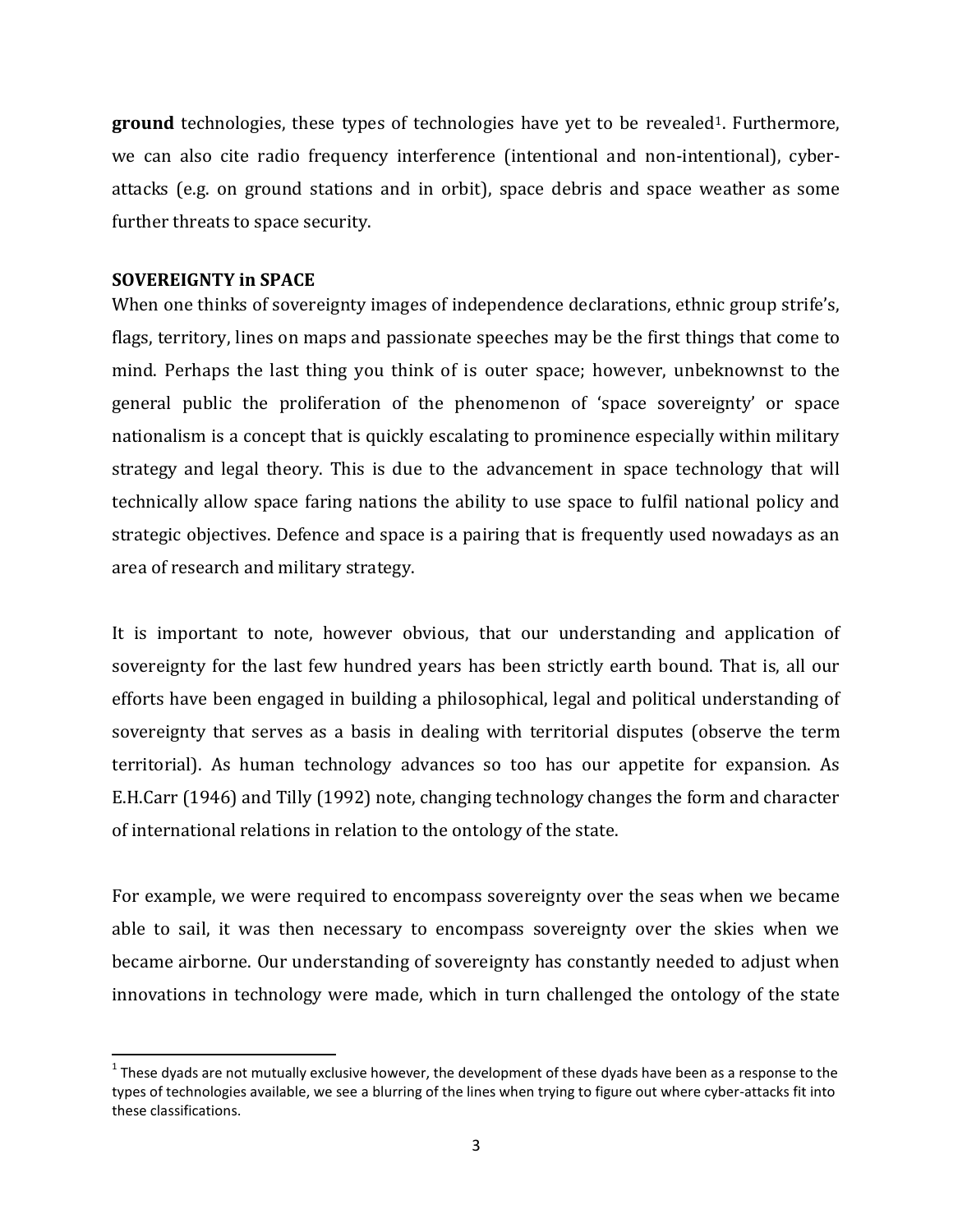**ground** technologies, these types of technologies have yet to be revealed<sup>1</sup>. Furthermore, we can also cite radio frequency interference (intentional and non-intentional), cyberattacks (e.g. on ground stations and in orbit), space debris and space weather as some further threats to space security.

### **SOVEREIGNTY in SPACE**

 $\overline{\phantom{a}}$ 

When one thinks of sovereignty images of independence declarations, ethnic group strife's, flags, territory, lines on maps and passionate speeches may be the first things that come to mind. Perhaps the last thing you think of is outer space; however, unbeknownst to the general public the proliferation of the phenomenon of 'space sovereignty' or space nationalism is a concept that is quickly escalating to prominence especially within military strategy and legal theory. This is due to the advancement in space technology that will technically allow space faring nations the ability to use space to fulfil national policy and strategic objectives. Defence and space is a pairing that is frequently used nowadays as an area of research and military strategy.

It is important to note, however obvious, that our understanding and application of sovereignty for the last few hundred years has been strictly earth bound. That is, all our efforts have been engaged in building a philosophical, legal and political understanding of sovereignty that serves as a basis in dealing with territorial disputes (observe the term territorial). As human technology advances so too has our appetite for expansion. As E.H.Carr (1946) and Tilly (1992) note, changing technology changes the form and character of international relations in relation to the ontology of the state.

For example, we were required to encompass sovereignty over the seas when we became able to sail, it was then necessary to encompass sovereignty over the skies when we became airborne. Our understanding of sovereignty has constantly needed to adjust when innovations in technology were made, which in turn challenged the ontology of the state

<sup>&</sup>lt;sup>1</sup> These dyads are not mutually exclusive however, the development of these dyads have been as a response to the types of technologies available, we see a blurring of the lines when trying to figure out where cyber-attacks fit into these classifications.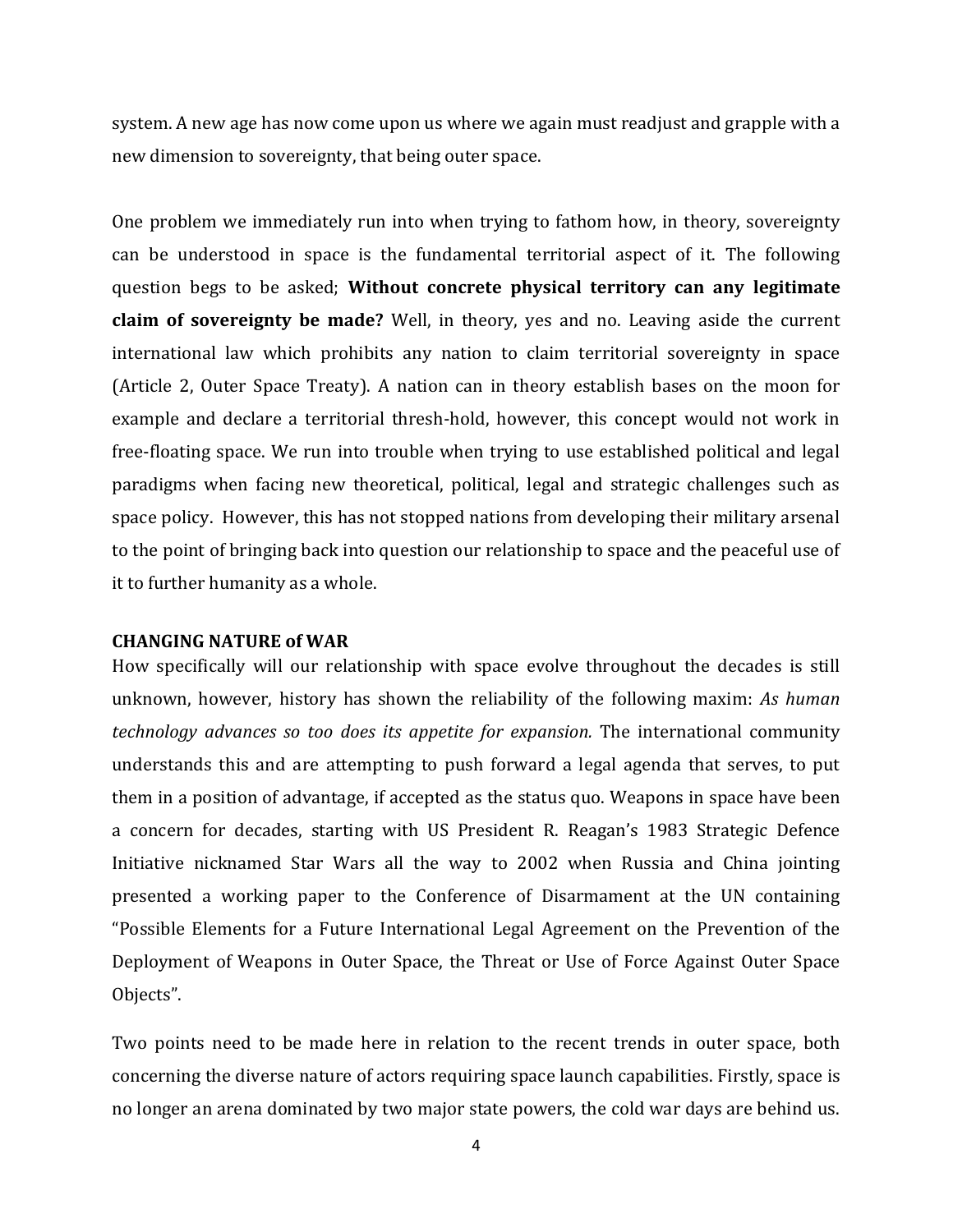system. A new age has now come upon us where we again must readjust and grapple with a new dimension to sovereignty, that being outer space.

One problem we immediately run into when trying to fathom how, in theory, sovereignty can be understood in space is the fundamental territorial aspect of it. The following question begs to be asked; **Without concrete physical territory can any legitimate claim of sovereignty be made?** Well, in theory, yes and no. Leaving aside the current international law which prohibits any nation to claim territorial sovereignty in space (Article 2, Outer Space Treaty). A nation can in theory establish bases on the moon for example and declare a territorial thresh-hold, however, this concept would not work in free-floating space. We run into trouble when trying to use established political and legal paradigms when facing new theoretical, political, legal and strategic challenges such as space policy. However, this has not stopped nations from developing their military arsenal to the point of bringing back into question our relationship to space and the peaceful use of it to further humanity as a whole.

#### **CHANGING NATURE of WAR**

How specifically will our relationship with space evolve throughout the decades is still unknown, however, history has shown the reliability of the following maxim: *As human technology advances so too does its appetite for expansion.* The international community understands this and are attempting to push forward a legal agenda that serves, to put them in a position of advantage, if accepted as the status quo. Weapons in space have been a concern for decades, starting with US President R. Reagan's 1983 Strategic Defence Initiative nicknamed Star Wars all the way to 2002 when Russia and China jointing presented a working paper to the Conference of Disarmament at the UN containing "Possible Elements for a Future International Legal Agreement on the Prevention of the Deployment of Weapons in Outer Space, the Threat or Use of Force Against Outer Space Objects".

Two points need to be made here in relation to the recent trends in outer space, both concerning the diverse nature of actors requiring space launch capabilities. Firstly, space is no longer an arena dominated by two major state powers, the cold war days are behind us.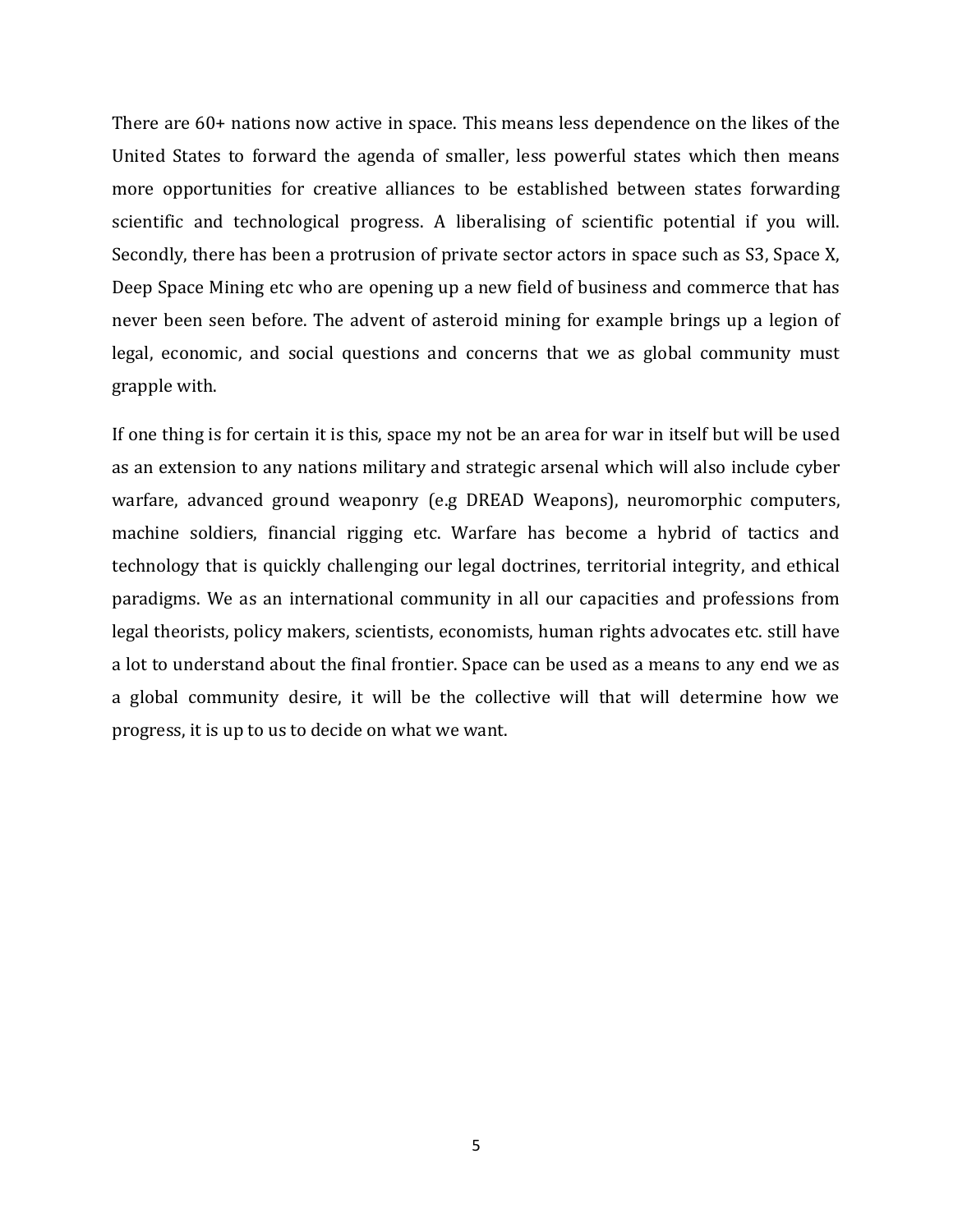There are 60+ nations now active in space. This means less dependence on the likes of the United States to forward the agenda of smaller, less powerful states which then means more opportunities for creative alliances to be established between states forwarding scientific and technological progress. A liberalising of scientific potential if you will. Secondly, there has been a protrusion of private sector actors in space such as S3, Space X, Deep Space Mining etc who are opening up a new field of business and commerce that has never been seen before. The advent of asteroid mining for example brings up a legion of legal, economic, and social questions and concerns that we as global community must grapple with.

If one thing is for certain it is this, space my not be an area for war in itself but will be used as an extension to any nations military and strategic arsenal which will also include cyber warfare, advanced ground weaponry (e.g DREAD Weapons), neuromorphic computers, machine soldiers, financial rigging etc. Warfare has become a hybrid of tactics and technology that is quickly challenging our legal doctrines, territorial integrity, and ethical paradigms. We as an international community in all our capacities and professions from legal theorists, policy makers, scientists, economists, human rights advocates etc. still have a lot to understand about the final frontier. Space can be used as a means to any end we as a global community desire, it will be the collective will that will determine how we progress, it is up to us to decide on what we want.